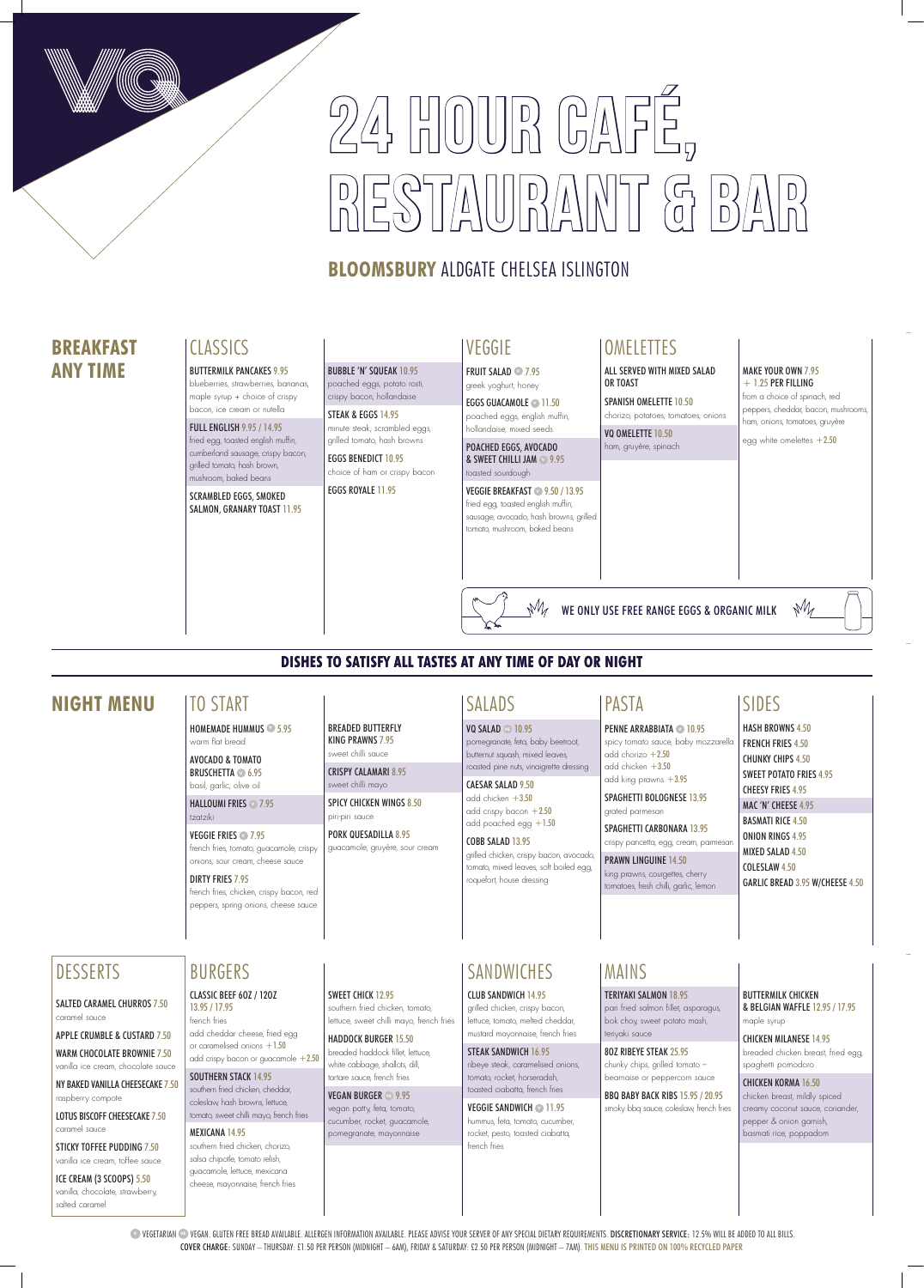# 24 HOUR CAFÉ,  $\begin{array}{cc} \begin{array}{cc} \begin{array}{cc} \mathbf{A} & \mathbf{B} \\ \mathbf{B} & \mathbf{B} \end{array} \end{array} & \begin{array}{cc} \mathbf{B} & \mathbf{B} \\ \mathbf{A} & \mathbf{B} \end{array} & \begin{array}{cc} \mathbf{B} & \mathbf{B} \\ \mathbf{B} & \mathbf{B} \end{array} & \begin{array}{cc} \mathbf{B} & \mathbf{B} \\ \mathbf{B} & \mathbf{B} \end{array} & \begin{array}{cc} \mathbf{B} & \mathbf{B} \\ \mathbf{B} & \mathbf{B} \end{array} & \$

## **BLOOMSBURY** ALDGATE CHELSEA ISLINGTON

**VEGETARIAN <sup>®</sup> VEGAN. GLUTEN FREE BREAD AVAILABLE. ALLERGEN INFORMATION AVAILABLE. PLEASE ADVISE YOUR SERVER OF ANY SPECIAL DIETARY REQUIREMENTS. DISCRETIONARY SERVICE: 12.5% WILL BE ADDED TO ALL BILLS.** COVER CHARGE: SUNDAY – THURSDAY: £1.50 PER PERSON (MIDNIGHT – 6AM), FRIDAY & SATURDAY: £2.50 PER PERSON (MIDNIGHT – 7AM). THIS MENU IS PRINTED ON 100% RECYCLED PAPER

EGGS GUACAMOLE **11.50** poached eggs, english muffin, hollandaise, mixed seeds

## VEGGIE

FRUIT SALAD **<sup>V</sup>** 7.95 greek yoghurt, honey

POACHED EGGS, AVOCADO & SWEET CHILLI JAM **<sup>V</sup>** 9.95

#### toasted sourdough VEGGIE BREAKFAST **<sup>V</sup>** 9.50 / 13.95 fried egg, toasted english muffin,

sausage, avocado, hash browns, grilled tomato, mushroom, baked beans

## **OMELETTES**

## **DISHES TO SATISFY ALL TASTES AT ANY TIME OF DAY OR NIGHT**

## **BREAKFAST ANY TIME**

## **CLASSICS**

## **NIGHT MENU** SIDES

CAESAR SALAD 9.50 add chicken +3.50 add crispy bacon  $+2.50$ add poached egg  $+1.50$ 

BREADED BUTTERFLY KING PRAWNS 7.95 sweet chilli sauce CRISPY CALAMARI 8.95 sweet chilli mayo

SPICY CHICKEN WINGS 8.50

piri-piri sauce

PORK QUESADILLA 8.95 guacamole, gruyère, sour cream **PENNE ARRABBIATA 10.95** spicy tomato sauce, baby mozzarella add chorizo  $+2.50$ add chicken +3.50 add king prawns +3.95

## TO START

HOMEMADE HUMMUS **<sup>V</sup>** 5.95 warm flat bread

AVOCADO & TOMATO BRUSCHETTA **<sup>V</sup>** 6.95 basil, garlic, olive oil

HALLOUMI FRIES **<sup>V</sup>** 7.95 tzatziki

VEGGIE FRIES **<sup>V</sup>** 7.95 french fries, tomato, guacamole, crispy onions, sour cream, cheese sauce

#### DIRTY FRIES 7.95

french fries, chicken, crispy bacon, red peppers, spring onions, cheese sauce

STEAK & EGGS 14.95 minute steak, scrambled eggs, grilled tomato, hash browns

#### MAKE YOUR OWN 7.95  $+ 1.25$  PER FILLING

HASH BROWNS 4.50 FRENCH FRIES 4.50 CHUNKY CHIPS 4.50 SWEET POTATO FRIES 4.95 CHEESY FRIES 4.95 MAC 'N' CHEESE 4.95 BASMATI RICE 4.50 ONION RINGS 4.95 MIXED SALAD 4.50 COLESLAW 4.50 GARLIC BREAD 3.95 W/CHEESE 4.50

SPANISH OMELETTE 10.50 chorizo, potatoes, tomatoes, onions

VQ OMELETTE 10.50 ham, gruyère, spinach

## SALADS

VQ SALAD **VE** 10.95 pomegranate, feta, baby beetroot, butternut squash, mixed leaves, roasted pine nuts, vinaigrette dressing

#### COBB SALAD 13.95

grilled chicken, crispy bacon, avocado, tomato, mixed leaves, soft boiled egg, roquefort, house dressing

CLASSIC BEEF 6OZ / 12OZ 13.95 / 17.95 french fries add cheddar cheese, fried egg or caramelised onions +1.50 add crispy bacon or guacamole +2.50

# SPAGHETTI BOLOGNESE 13.95

grated parmesan SPAGHETTI CARBONARA 13.95

crispy pancetta, egg, cream, parmesar

SOUTHERN STACK 14.95 southern fried chicken, cheddar, coleslaw, hash browns, lettuce, tomato, sweet chilli mayo, french fries PRAWN LINGUINE 14.50 king prawns, courgettes, cherry tomatoes, fresh chilli, garlic, lemon

PASTA

SWEET CHICK 12.95 southern fried chicken, tomato, lettuce, sweet chilli mayo, french fries

BUTTERMILK PANCAKES 9.95 blueberries, strawberries, bananas,

maple syrup + choice of crispy bacon, ice cream or nutella

FULL ENGLISH 9.95 / 14.95 fried egg, toasted english muffin, cumberland sausage, crispy bacon, grilled tomato, hash brown, mushroom, baked beans

SCRAMBLED EGGS, SMOKED SALMON, GRANARY TOAST 11.95

BUBBLE 'N' SQUEAK 10.95 poached eggs, potato rosti, crispy bacon, hollandaise

EGGS BENEDICT 10.95 choice of ham or crispy bacon

EGGS ROYALE 11.95

from a choice of spinach, red peppers, cheddar, bacon, mushrooms, ham, onions, tomatoes, gruyère

 $M$ 

egg white omelettes  $+2.50$ 

ALL SERVED WITH MIXED SALAD OR TOAST

WE ONLY USE FREE RANGE EGGS & ORGANIC MILK

## MAINS

TERIYAKI SALMON 18.95

pan fried salmon fillet, asparagus, bok choy, sweet potato mash, teriyaki sauce

8OZ RIBEYE STEAK 25.95

chunky chips, grilled tomato – bearnaise or peppercorn sauce

BBQ BABY BACK RIBS 15.95 / 20.95 smoky bbq sauce, coleslaw, french fries BUTTERMILK CHICKEN & BELGIAN WAFFLE 12.95 / 17.95 maple syrup

CHICKEN MILANESE 14.95 breaded chicken breast, fried egg, spaghetti pomodoro

CHICKEN KORMA 16.50 chicken breast, mildly spiced creamy coconut sauce, coriander, pepper & onion garnish, basmati rice, poppadom

CLUB SANDWICH 14.95 grilled chicken, crispy bacon, lettuce, tomato, melted cheddar,

mustard mayonnaise, french fries

#### STEAK SANDWICH 16.95

ribeye steak, caramelised onions, tomato, rocket, horseradish, toasted ciabatta, french fries

VEGGIE SANDWICH **V** 11.95 hummus, feta, tomato, cucumber, rocket, pesto, toasted ciabatta, french fries

MEXICANA 14.95 southern fried chicken, chorizo, salsa chipotle, tomato relish, guacamole, lettuce, mexicana cheese, mayonnaise, french fries

## BURGERS SANDWICHES

HADDOCK BURGER 15.50 breaded haddock fillet, lettuce, white cabbage, shallots, dill, tartare sauce, french fries

VEGAN BURGER **VE** 9.95 vegan patty, feta, tomato, cucumber, rocket, guacamole, pomegranate, mayonnaise



#### SALTED CARAMEL CHURROS 7.50 caramel sauce

APPLE CRUMBLE & CUSTARD 7.50 WARM CHOCOLATE BROWNIE 7.50 vanilla ice cream, chocolate sauce

NY BAKED VANILLA CHEESECAKE 7.50 raspberry compote

LOTUS BISCOFF CHEESECAKE 7.50 caramel sauce

STICKY TOFFEE PUDDING 7.50 vanilla ice cream, toffee sauce

ICE CREAM (3 SCOOPS) 5.50 vanilla, chocolate, strawberry, salted caramel